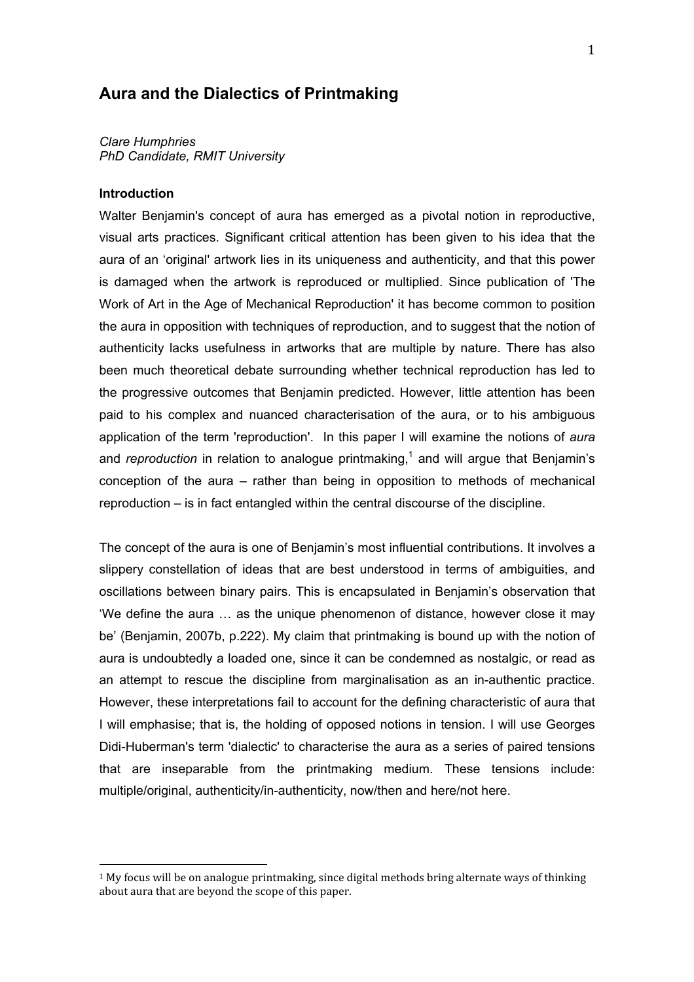# **Aura and the Dialectics of Printmaking**

*Clare Humphries PhD Candidate, RMIT University*

#### **Introduction**

Walter Benjamin's concept of aura has emerged as a pivotal notion in reproductive, visual arts practices. Significant critical attention has been given to his idea that the aura of an 'original' artwork lies in its uniqueness and authenticity, and that this power is damaged when the artwork is reproduced or multiplied. Since publication of 'The Work of Art in the Age of Mechanical Reproduction' it has become common to position the aura in opposition with techniques of reproduction, and to suggest that the notion of authenticity lacks usefulness in artworks that are multiple by nature. There has also been much theoretical debate surrounding whether technical reproduction has led to the progressive outcomes that Benjamin predicted. However, little attention has been paid to his complex and nuanced characterisation of the aura, or to his ambiguous application of the term 'reproduction'. In this paper I will examine the notions of *aura* and *reproduction* in relation to analogue printmaking,<sup>1</sup> and will argue that Benjamin's conception of the aura – rather than being in opposition to methods of mechanical reproduction – is in fact entangled within the central discourse of the discipline.

The concept of the aura is one of Benjamin's most influential contributions. It involves a slippery constellation of ideas that are best understood in terms of ambiguities, and oscillations between binary pairs. This is encapsulated in Benjamin's observation that 'We define the aura … as the unique phenomenon of distance, however close it may be' (Benjamin, 2007b, p.222). My claim that printmaking is bound up with the notion of aura is undoubtedly a loaded one, since it can be condemned as nostalgic, or read as an attempt to rescue the discipline from marginalisation as an in-authentic practice. However, these interpretations fail to account for the defining characteristic of aura that I will emphasise; that is, the holding of opposed notions in tension. I will use Georges Didi-Huberman's term 'dialectic' to characterise the aura as a series of paired tensions that are inseparable from the printmaking medium. These tensions include: multiple/original, authenticity/in-authenticity, now/then and here/not here.

<sup>&</sup>lt;sup>1</sup> My focus will be on analogue printmaking, since digital methods bring alternate ways of thinking about aura that are beyond the scope of this paper.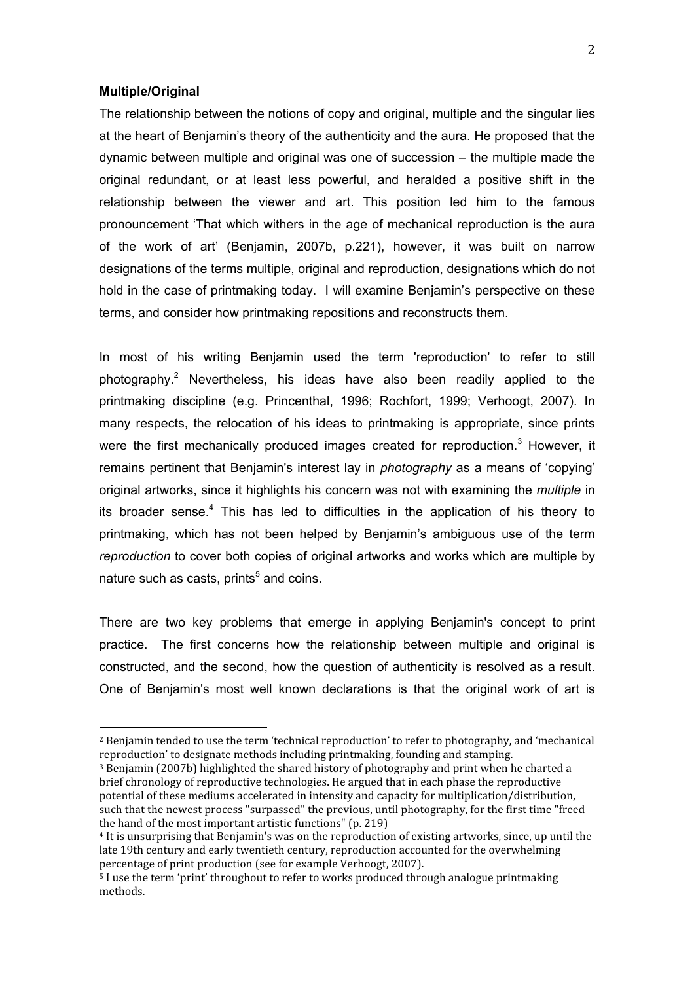# **Multiple/Original**

The relationship between the notions of copy and original, multiple and the singular lies at the heart of Benjamin's theory of the authenticity and the aura. He proposed that the dynamic between multiple and original was one of succession – the multiple made the original redundant, or at least less powerful, and heralded a positive shift in the relationship between the viewer and art. This position led him to the famous pronouncement 'That which withers in the age of mechanical reproduction is the aura of the work of art' (Benjamin, 2007b, p.221), however, it was built on narrow designations of the terms multiple, original and reproduction, designations which do not hold in the case of printmaking today. I will examine Benjamin's perspective on these terms, and consider how printmaking repositions and reconstructs them.

In most of his writing Benjamin used the term 'reproduction' to refer to still photography.<sup>2</sup> Nevertheless, his ideas have also been readily applied to the printmaking discipline (e.g. Princenthal, 1996; Rochfort, 1999; Verhoogt, 2007). In many respects, the relocation of his ideas to printmaking is appropriate, since prints were the first mechanically produced images created for reproduction.<sup>3</sup> However, it remains pertinent that Benjamin's interest lay in *photography* as a means of 'copying' original artworks, since it highlights his concern was not with examining the *multiple* in its broader sense.<sup>4</sup> This has led to difficulties in the application of his theory to printmaking, which has not been helped by Benjamin's ambiguous use of the term *reproduction* to cover both copies of original artworks and works which are multiple by nature such as casts, prints<sup>5</sup> and coins.

There are two key problems that emerge in applying Benjamin's concept to print practice. The first concerns how the relationship between multiple and original is constructed, and the second, how the question of authenticity is resolved as a result. One of Benjamin's most well known declarations is that the original work of art is

<sup>&</sup>lt;sup>2</sup> Benjamin tended to use the term 'technical reproduction' to refer to photography, and 'mechanical reproduction'
to
designate
methods
including
printmaking,
founding
and
stamping.

<sup>&</sup>lt;sup>3</sup> Benjamin (2007b) highlighted the shared history of photography and print when he charted a brief chronology of reproductive technologies. He argued that in each phase the reproductive potential
of
these
mediums
accelerated
in
intensity
and
capacity
for
multiplication/distribution, such that the newest process "surpassed" the previous, until photography, for the first time "freed the
hand
of
the
most
important
artistic
functions"
(p.
219)

<sup>&</sup>lt;sup>4</sup> It is unsurprising that Benjamin's was on the reproduction of existing artworks, since, up until the late 19th century and early twentieth century, reproduction accounted for the overwhelming percentage of print production (see for example Verhoogt, 2007).

<sup>&</sup>lt;sup>5</sup> I use the term 'print' throughout to refer to works produced through analogue printmaking methods.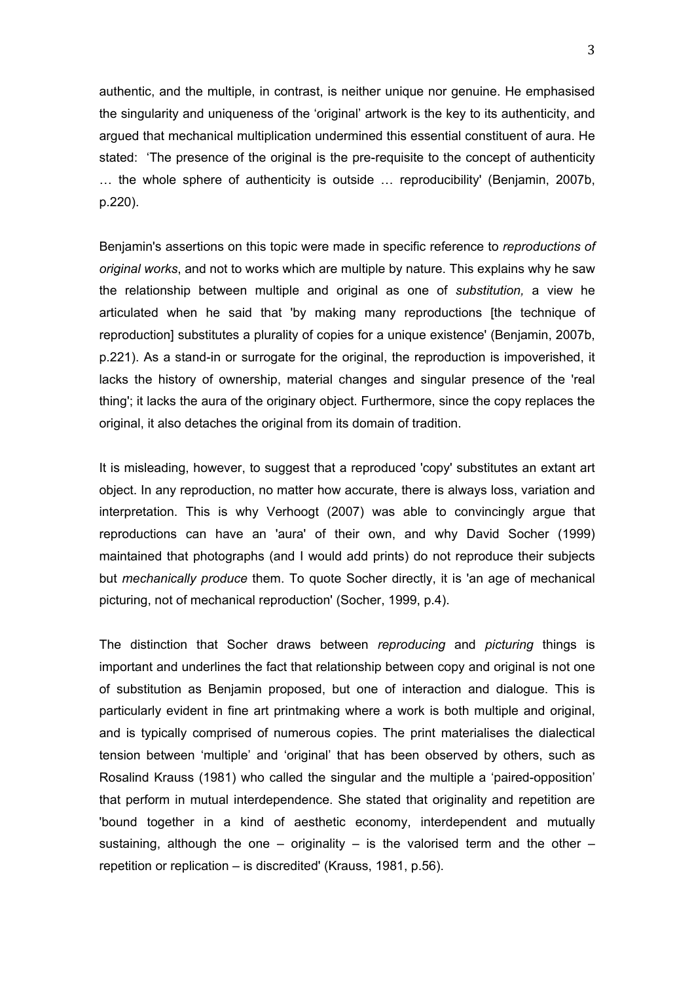authentic, and the multiple, in contrast, is neither unique nor genuine. He emphasised the singularity and uniqueness of the 'original' artwork is the key to its authenticity, and argued that mechanical multiplication undermined this essential constituent of aura. He stated: 'The presence of the original is the pre-requisite to the concept of authenticity … the whole sphere of authenticity is outside … reproducibility' (Benjamin, 2007b, p.220).

Benjamin's assertions on this topic were made in specific reference to *reproductions of original works*, and not to works which are multiple by nature. This explains why he saw the relationship between multiple and original as one of *substitution,* a view he articulated when he said that 'by making many reproductions [the technique of reproduction] substitutes a plurality of copies for a unique existence' (Benjamin, 2007b, p.221). As a stand-in or surrogate for the original, the reproduction is impoverished, it lacks the history of ownership, material changes and singular presence of the 'real thing'; it lacks the aura of the originary object. Furthermore, since the copy replaces the original, it also detaches the original from its domain of tradition.

It is misleading, however, to suggest that a reproduced 'copy' substitutes an extant art object. In any reproduction, no matter how accurate, there is always loss, variation and interpretation. This is why Verhoogt (2007) was able to convincingly argue that reproductions can have an 'aura' of their own, and why David Socher (1999) maintained that photographs (and I would add prints) do not reproduce their subjects but *mechanically produce* them. To quote Socher directly, it is 'an age of mechanical picturing, not of mechanical reproduction' (Socher, 1999, p.4).

The distinction that Socher draws between *reproducing* and *picturing* things is important and underlines the fact that relationship between copy and original is not one of substitution as Benjamin proposed, but one of interaction and dialogue. This is particularly evident in fine art printmaking where a work is both multiple and original, and is typically comprised of numerous copies. The print materialises the dialectical tension between 'multiple' and 'original' that has been observed by others, such as Rosalind Krauss (1981) who called the singular and the multiple a 'paired-opposition' that perform in mutual interdependence. She stated that originality and repetition are 'bound together in a kind of aesthetic economy, interdependent and mutually sustaining, although the one – originality – is the valorised term and the other – repetition or replication – is discredited' (Krauss, 1981, p.56).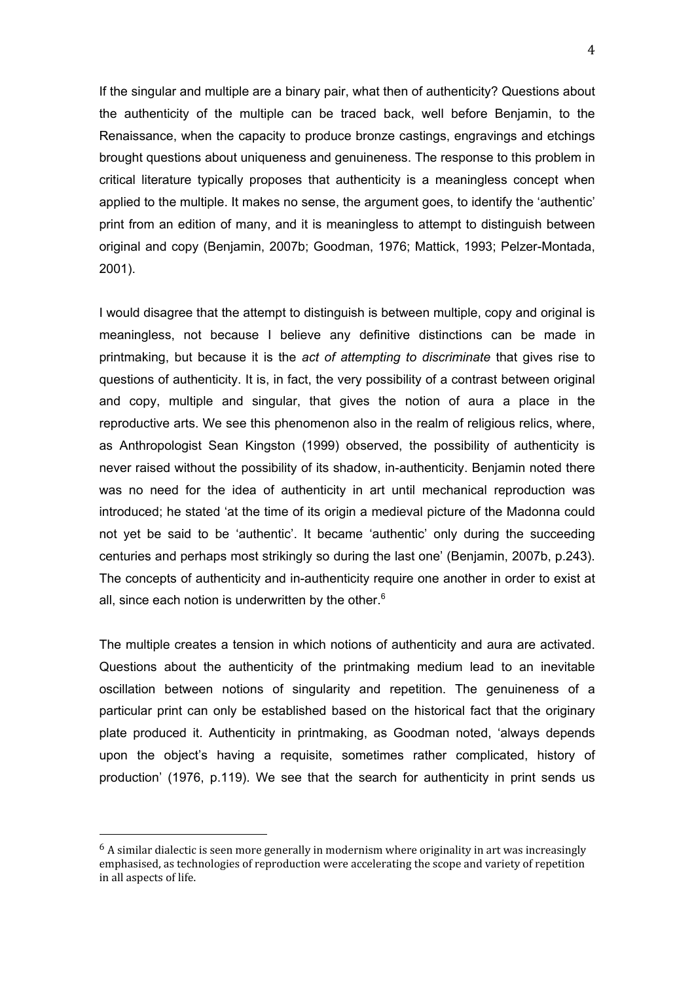If the singular and multiple are a binary pair, what then of authenticity? Questions about the authenticity of the multiple can be traced back, well before Benjamin, to the Renaissance, when the capacity to produce bronze castings, engravings and etchings brought questions about uniqueness and genuineness. The response to this problem in critical literature typically proposes that authenticity is a meaningless concept when applied to the multiple. It makes no sense, the argument goes, to identify the 'authentic' print from an edition of many, and it is meaningless to attempt to distinguish between original and copy (Benjamin, 2007b; Goodman, 1976; Mattick, 1993; Pelzer-Montada, 2001).

I would disagree that the attempt to distinguish is between multiple, copy and original is meaningless, not because I believe any definitive distinctions can be made in printmaking, but because it is the *act of attempting to discriminate* that gives rise to questions of authenticity. It is, in fact, the very possibility of a contrast between original and copy, multiple and singular, that gives the notion of aura a place in the reproductive arts. We see this phenomenon also in the realm of religious relics, where, as Anthropologist Sean Kingston (1999) observed, the possibility of authenticity is never raised without the possibility of its shadow, in-authenticity. Benjamin noted there was no need for the idea of authenticity in art until mechanical reproduction was introduced; he stated 'at the time of its origin a medieval picture of the Madonna could not yet be said to be 'authentic'. It became 'authentic' only during the succeeding centuries and perhaps most strikingly so during the last one' (Benjamin, 2007b, p.243). The concepts of authenticity and in-authenticity require one another in order to exist at all, since each notion is underwritten by the other. $6$ 

The multiple creates a tension in which notions of authenticity and aura are activated. Questions about the authenticity of the printmaking medium lead to an inevitable oscillation between notions of singularity and repetition. The genuineness of a particular print can only be established based on the historical fact that the originary plate produced it. Authenticity in printmaking, as Goodman noted, 'always depends upon the object's having a requisite, sometimes rather complicated, history of production' (1976, p.119). We see that the search for authenticity in print sends us

<sup>&</sup>lt;sup>6</sup> A similar dialectic is seen more generally in modernism where originality in art was increasingly emphasised,
as
technologies
of
reproduction
were
accelerating
the
scope
and
variety
of
repetition in
all
aspects
of
life.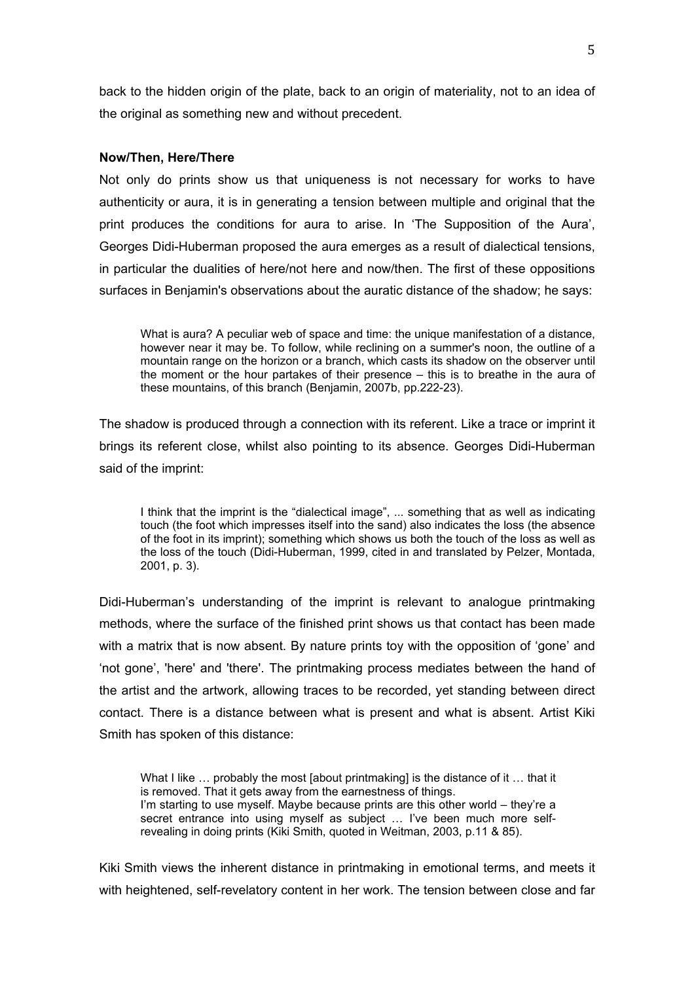back to the hidden origin of the plate, back to an origin of materiality, not to an idea of the original as something new and without precedent.

# **Now/Then, Here/There**

Not only do prints show us that uniqueness is not necessary for works to have authenticity or aura, it is in generating a tension between multiple and original that the print produces the conditions for aura to arise. In 'The Supposition of the Aura', Georges Didi-Huberman proposed the aura emerges as a result of dialectical tensions, in particular the dualities of here/not here and now/then. The first of these oppositions surfaces in Benjamin's observations about the auratic distance of the shadow; he says:

What is aura? A peculiar web of space and time: the unique manifestation of a distance, however near it may be. To follow, while reclining on a summer's noon, the outline of a mountain range on the horizon or a branch, which casts its shadow on the observer until the moment or the hour partakes of their presence – this is to breathe in the aura of these mountains, of this branch (Benjamin, 2007b, pp.222-23).

The shadow is produced through a connection with its referent. Like a trace or imprint it brings its referent close, whilst also pointing to its absence. Georges Didi-Huberman said of the imprint:

I think that the imprint is the "dialectical image", ... something that as well as indicating touch (the foot which impresses itself into the sand) also indicates the loss (the absence of the foot in its imprint); something which shows us both the touch of the loss as well as the loss of the touch (Didi-Huberman, 1999, cited in and translated by Pelzer, Montada, 2001, p. 3).

Didi-Huberman's understanding of the imprint is relevant to analogue printmaking methods, where the surface of the finished print shows us that contact has been made with a matrix that is now absent. By nature prints toy with the opposition of 'gone' and 'not gone', 'here' and 'there'. The printmaking process mediates between the hand of the artist and the artwork, allowing traces to be recorded, yet standing between direct contact. There is a distance between what is present and what is absent. Artist Kiki Smith has spoken of this distance:

What I like ... probably the most [about printmaking] is the distance of it ... that it is removed. That it gets away from the earnestness of things. I'm starting to use myself. Maybe because prints are this other world – they're a secret entrance into using myself as subject … I've been much more selfrevealing in doing prints (Kiki Smith, quoted in Weitman, 2003, p.11 & 85).

Kiki Smith views the inherent distance in printmaking in emotional terms, and meets it with heightened, self-revelatory content in her work. The tension between close and far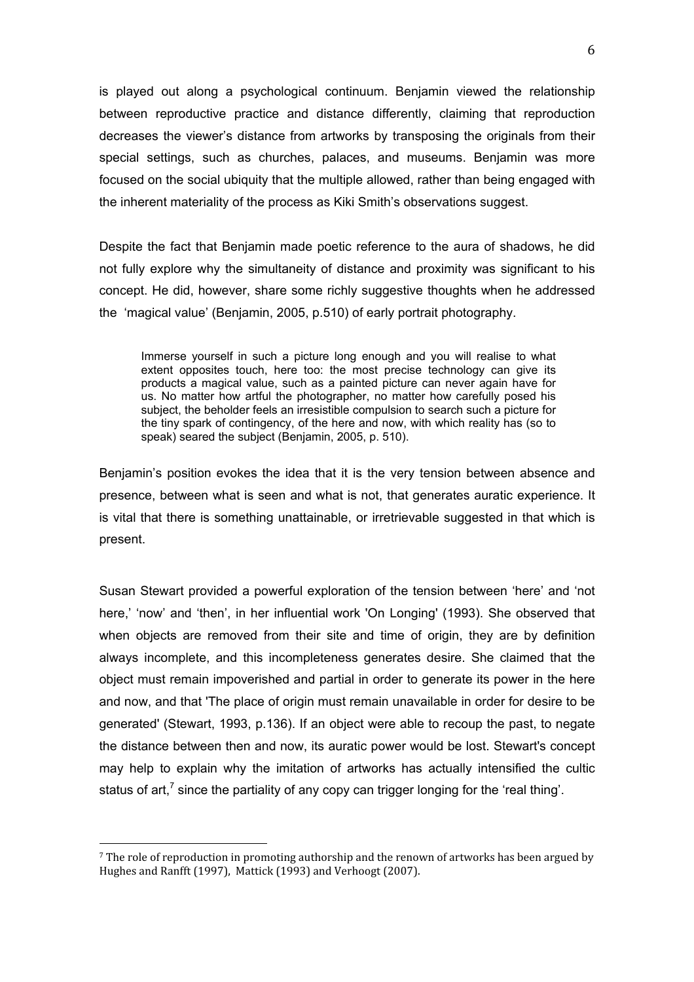is played out along a psychological continuum. Benjamin viewed the relationship between reproductive practice and distance differently, claiming that reproduction decreases the viewer's distance from artworks by transposing the originals from their special settings, such as churches, palaces, and museums. Benjamin was more focused on the social ubiquity that the multiple allowed, rather than being engaged with the inherent materiality of the process as Kiki Smith's observations suggest.

Despite the fact that Benjamin made poetic reference to the aura of shadows, he did not fully explore why the simultaneity of distance and proximity was significant to his concept. He did, however, share some richly suggestive thoughts when he addressed the 'magical value' (Benjamin, 2005, p.510) of early portrait photography.

Immerse yourself in such a picture long enough and you will realise to what extent opposites touch, here too: the most precise technology can give its products a magical value, such as a painted picture can never again have for us. No matter how artful the photographer, no matter how carefully posed his subject, the beholder feels an irresistible compulsion to search such a picture for the tiny spark of contingency, of the here and now, with which reality has (so to speak) seared the subject (Benjamin, 2005, p. 510).

Benjamin's position evokes the idea that it is the very tension between absence and presence, between what is seen and what is not, that generates auratic experience. It is vital that there is something unattainable, or irretrievable suggested in that which is present.

Susan Stewart provided a powerful exploration of the tension between 'here' and 'not here,' 'now' and 'then', in her influential work 'On Longing' (1993). She observed that when objects are removed from their site and time of origin, they are by definition always incomplete, and this incompleteness generates desire. She claimed that the object must remain impoverished and partial in order to generate its power in the here and now, and that 'The place of origin must remain unavailable in order for desire to be generated' (Stewart, 1993, p.136). If an object were able to recoup the past, to negate the distance between then and now, its auratic power would be lost. Stewart's concept may help to explain why the imitation of artworks has actually intensified the cultic status of art,<sup>7</sup> since the partiality of any copy can trigger longing for the 'real thing'.

<sup>&</sup>lt;sup>7</sup> The role of reproduction in promoting authorship and the renown of artworks has been argued by Hughes
and
Ranfft
(1997),

Mattick
(1993)
and
Verhoogt
(2007).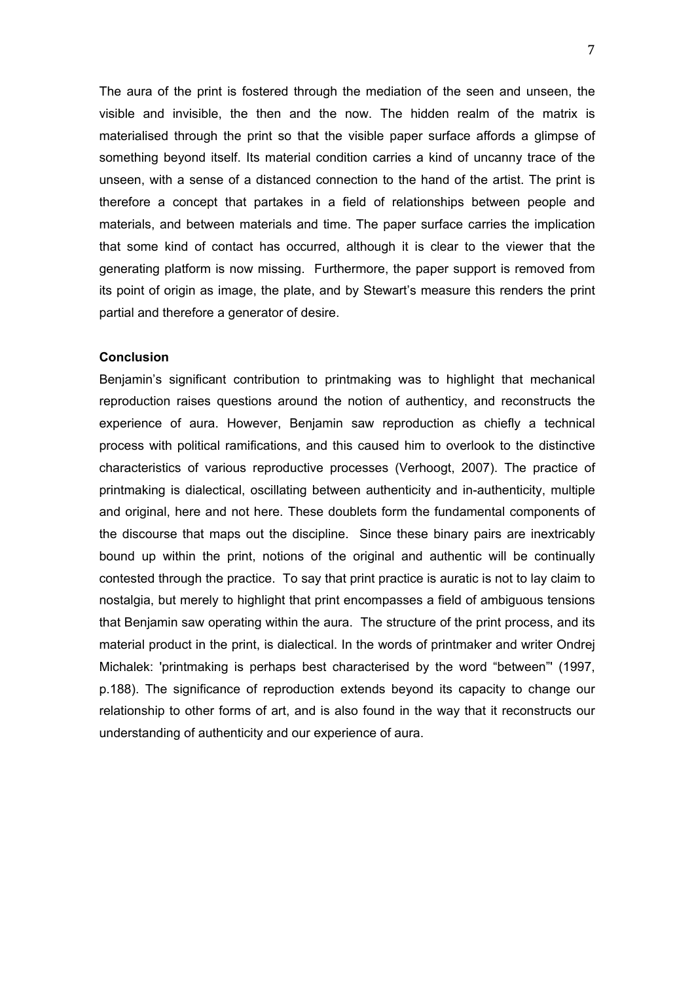The aura of the print is fostered through the mediation of the seen and unseen, the visible and invisible, the then and the now. The hidden realm of the matrix is materialised through the print so that the visible paper surface affords a glimpse of something beyond itself. Its material condition carries a kind of uncanny trace of the unseen, with a sense of a distanced connection to the hand of the artist. The print is therefore a concept that partakes in a field of relationships between people and materials, and between materials and time. The paper surface carries the implication that some kind of contact has occurred, although it is clear to the viewer that the generating platform is now missing. Furthermore, the paper support is removed from its point of origin as image, the plate, and by Stewart's measure this renders the print partial and therefore a generator of desire.

### **Conclusion**

Benjamin's significant contribution to printmaking was to highlight that mechanical reproduction raises questions around the notion of authenticy, and reconstructs the experience of aura. However, Benjamin saw reproduction as chiefly a technical process with political ramifications, and this caused him to overlook to the distinctive characteristics of various reproductive processes (Verhoogt, 2007). The practice of printmaking is dialectical, oscillating between authenticity and in-authenticity, multiple and original, here and not here. These doublets form the fundamental components of the discourse that maps out the discipline. Since these binary pairs are inextricably bound up within the print, notions of the original and authentic will be continually contested through the practice. To say that print practice is auratic is not to lay claim to nostalgia, but merely to highlight that print encompasses a field of ambiguous tensions that Benjamin saw operating within the aura. The structure of the print process, and its material product in the print, is dialectical. In the words of printmaker and writer Ondrej Michalek: 'printmaking is perhaps best characterised by the word "between"' (1997, p.188). The significance of reproduction extends beyond its capacity to change our relationship to other forms of art, and is also found in the way that it reconstructs our understanding of authenticity and our experience of aura.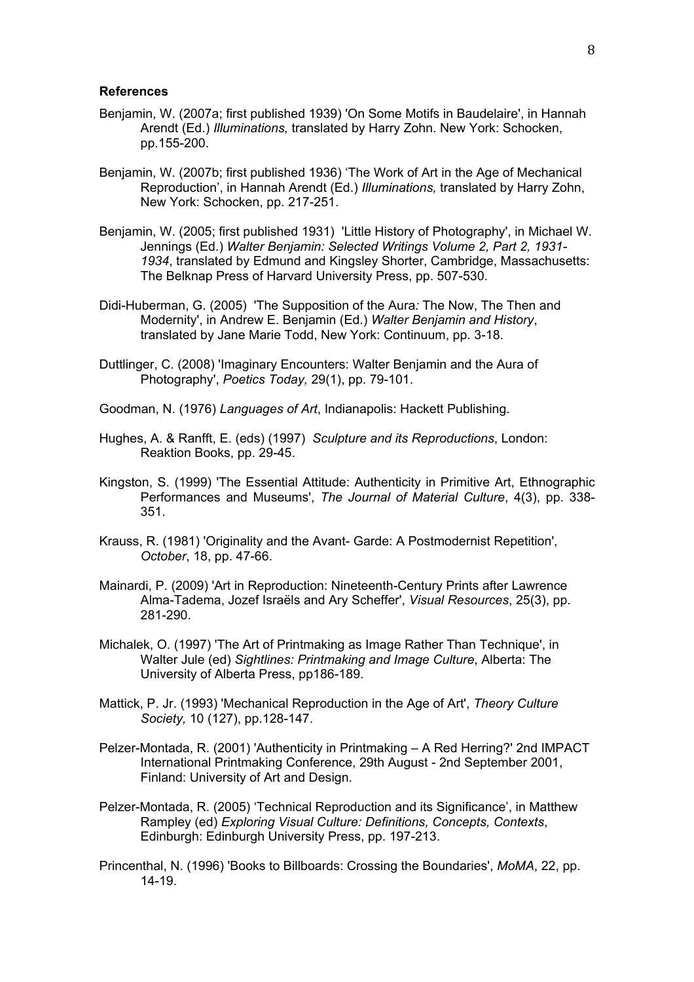#### **References**

- Benjamin, W. (2007a; first published 1939) 'On Some Motifs in Baudelaire', in Hannah Arendt (Ed.) *Illuminations,* translated by Harry Zohn. New York: Schocken, pp.155-200.
- Benjamin, W. (2007b; first published 1936) 'The Work of Art in the Age of Mechanical Reproduction', in Hannah Arendt (Ed.) *Illuminations,* translated by Harry Zohn, New York: Schocken, pp. 217-251.
- Benjamin, W. (2005; first published 1931) 'Little History of Photography', in Michael W. Jennings (Ed.) *Walter Benjamin: Selected Writings Volume 2, Part 2, 1931- 1934*, translated by Edmund and Kingsley Shorter, Cambridge, Massachusetts: The Belknap Press of Harvard University Press, pp. 507-530.
- Didi-Huberman, G. (2005) 'The Supposition of the Aura*:* The Now, The Then and Modernity', in Andrew E. Benjamin (Ed.) *Walter Benjamin and History*, translated by Jane Marie Todd, New York: Continuum, pp. 3-18.
- Duttlinger, C. (2008) 'Imaginary Encounters: Walter Benjamin and the Aura of Photography', *Poetics Today,* 29(1), pp. 79-101.
- Goodman, N. (1976) *Languages of Art*, Indianapolis: Hackett Publishing.
- Hughes, A. & Ranfft, E. (eds) (1997) *Sculpture and its Reproductions*, London: Reaktion Books, pp. 29-45.
- Kingston, S. (1999) 'The Essential Attitude: Authenticity in Primitive Art, Ethnographic Performances and Museums', *The Journal of Material Culture*, 4(3), pp. 338- 351.
- Krauss, R. (1981) 'Originality and the Avant- Garde: A Postmodernist Repetition', *October*, 18, pp. 47-66.
- Mainardi, P. (2009) 'Art in Reproduction: Nineteenth-Century Prints after Lawrence Alma-Tadema, Jozef Israëls and Ary Scheffer', *Visual Resources*, 25(3), pp. 281-290.
- Michalek, O. (1997) 'The Art of Printmaking as Image Rather Than Technique', in Walter Jule (ed) *Sightlines: Printmaking and Image Culture*, Alberta: The University of Alberta Press, pp186-189.
- Mattick, P. Jr. (1993) 'Mechanical Reproduction in the Age of Art', *Theory Culture Society,* 10 (127), pp.128-147.
- Pelzer-Montada, R. (2001) 'Authenticity in Printmaking A Red Herring?' 2nd IMPACT International Printmaking Conference, 29th August - 2nd September 2001, Finland: University of Art and Design.
- Pelzer-Montada, R. (2005) 'Technical Reproduction and its Significance', in Matthew Rampley (ed) *Exploring Visual Culture: Definitions, Concepts, Contexts*, Edinburgh: Edinburgh University Press, pp. 197-213.
- Princenthal, N. (1996) 'Books to Billboards: Crossing the Boundaries', *MoMA*, 22, pp. 14-19.